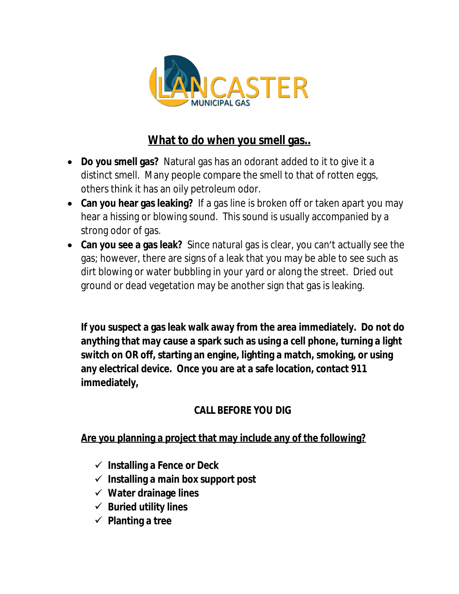

## **What to do when you smell gas..**

- **Do you smell gas?** Natural gas has an odorant added to it to give it a distinct smell. Many people compare the smell to that of rotten eggs, others think it has an oily petroleum odor.
- **Can you hear gas leaking?** If a gas line is broken off or taken apart you may hear a hissing or blowing sound. This sound is usually accompanied by a strong odor of gas.
- **Can you see a gas leak?** Since natural gas is clear, you can't actually see the gas; however, there are signs of a leak that you may be able to see such as dirt blowing or water bubbling in your yard or along the street. Dried out ground or dead vegetation may be another sign that gas is leaking.

**If you suspect a gas leak walk away from the area immediately. Do not do anything that may cause a spark such as using a cell phone, turning a light switch on OR off, starting an engine, lighting a match, smoking, or using any electrical device. Once you are at a safe location, contact 911 immediately,**

## **CALL BEFORE YOU DIG**

**Are you planning a project that may include any of the following?**

- **Installing a Fence or Deck**
- **Installing a main box support post**
- **Water drainage lines**
- **Buried utility lines**
- **Planting a tree**